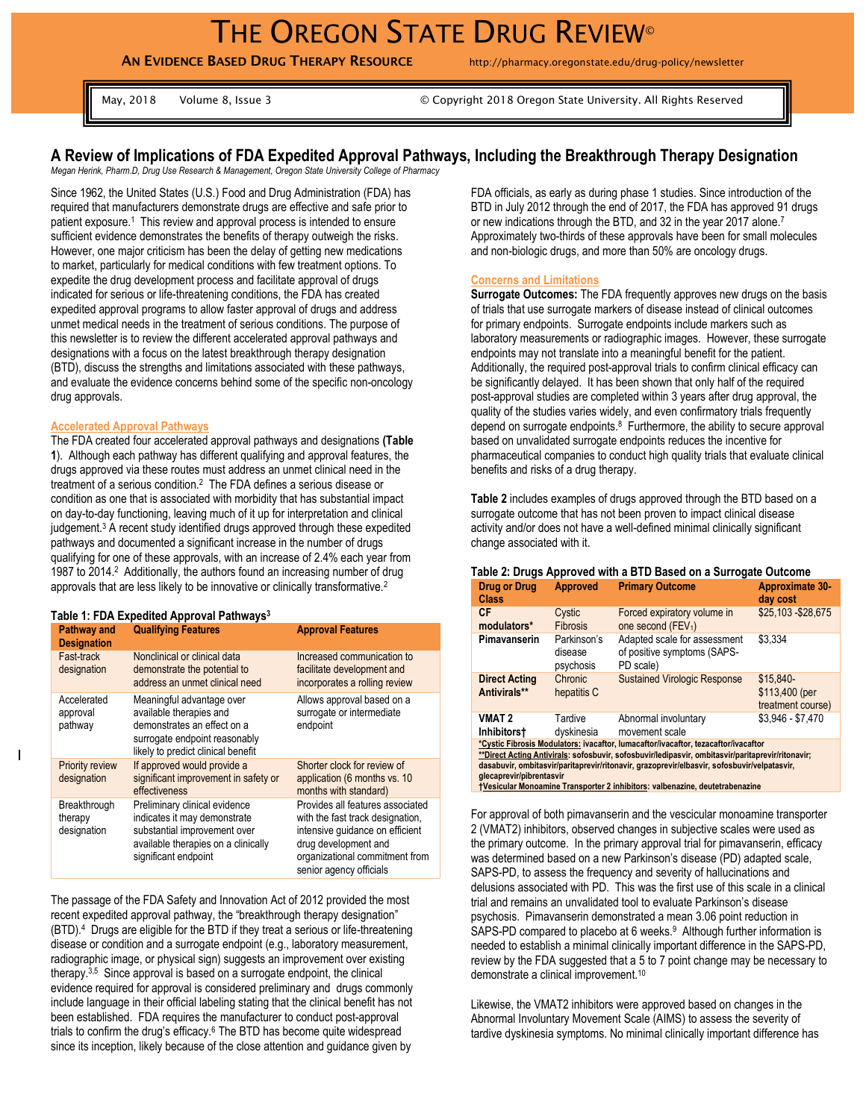# THE OREGON STATE DRUG REVIEW®

**AN EVIDENCE BASED DRUG THERAPY RESOURCE** http://pharmacy.oregonstate.edu/drug-policy/newsletter

May, 2018 Volume 8, Issue 3 © Copyright 2018 Oregon State University. All Rights Reserved

# **A Review of Implications of FDA Expedited Approval Pathways, Including the Breakthrough Therapy Designation**

*Megan Herink, Pharm.D, Drug Use Research & Management, Oregon State University College of Pharmacy*

Since 1962, the United States (U.S.) Food and Drug Administration (FDA) has required that manufacturers demonstrate drugs are effective and safe prior to patient exposure.<sup>1</sup> This review and approval process is intended to ensure sufficient evidence demonstrates the benefits of therapy outweigh the risks. However, one major criticism has been the delay of getting new medications to market, particularly for medical conditions with few treatment options. To expedite the drug development process and facilitate approval of drugs indicated for serious or life-threatening conditions, the FDA has created expedited approval programs to allow faster approval of drugs and address unmet medical needs in the treatment of serious conditions. The purpose of this newsletter is to review the different accelerated approval pathways and designations with a focus on the latest breakthrough therapy designation (BTD), discuss the strengths and limitations associated with these pathways, and evaluate the evidence concerns behind some of the specific non-oncology drug approvals.

#### **Accelerated Approval Pathways**

The FDA created four accelerated approval pathways and designations **(Table 1**). Although each pathway has different qualifying and approval features, the drugs approved via these routes must address an unmet clinical need in the treatment of a serious condition. 2 The FDA defines a serious disease or condition as one that is associated with morbidity that has substantial impact on day-to-day functioning, leaving much of it up for interpretation and clinical judgement.<sup>3</sup> A recent study identified drugs approved through these expedited pathways and documented a significant increase in the number of drugs qualifying for one of these approvals, with an increase of 2.4% each year from 1987 to 2014.<sup>2</sup> Additionally, the authors found an increasing number of drug approvals that are less likely to be innovative or clinically transformative.<sup>2</sup>

#### **Table 1: FDA Expedited Approval Pathways<sup>3</sup>**

| <b>Pathway and</b><br><b>Designation</b> | <b>Qualifying Features</b>                                                                                                                                   | <b>Approval Features</b>                                                                                                                                                                     |
|------------------------------------------|--------------------------------------------------------------------------------------------------------------------------------------------------------------|----------------------------------------------------------------------------------------------------------------------------------------------------------------------------------------------|
| Fast-track<br>designation                | Nonclinical or clinical data<br>demonstrate the potential to<br>address an unmet clinical need                                                               | Increased communication to<br>facilitate development and<br>incorporates a rolling review                                                                                                    |
| Accelerated<br>approval<br>pathway       | Meaningful advantage over<br>available therapies and<br>demonstrates an effect on a<br>surrogate endpoint reasonably<br>likely to predict clinical benefit   | Allows approval based on a<br>surrogate or intermediate<br>endpoint                                                                                                                          |
| <b>Priority review</b><br>designation    | If approved would provide a<br>significant improvement in safety or<br>effectiveness                                                                         | Shorter clock for review of<br>application (6 months vs. 10)<br>months with standard)                                                                                                        |
| Breakthrough<br>therapy<br>designation   | Preliminary clinical evidence<br>indicates it may demonstrate<br>substantial improvement over<br>available therapies on a clinically<br>significant endpoint | Provides all features associated<br>with the fast track designation,<br>intensive quidance on efficient<br>drug development and<br>organizational commitment from<br>senior agency officials |

The passage of the FDA Safety and Innovation Act of 2012 provided the most recent expedited approval pathway, the "breakthrough therapy designation" (BTD).<sup>4</sup> Drugs are eligible for the BTD if they treat a serious or life-threatening disease or condition and a surrogate endpoint (e.g., laboratory measurement, radiographic image, or physical sign) suggests an improvement over existing therapy.3,5 Since approval is based on a surrogate endpoint, the clinical evidence required for approval is considered preliminary and drugs commonly include language in their official labeling stating that the clinical benefit has not been established. FDA requires the manufacturer to conduct post-approval trials to confirm the drug's efficacy.<sup>6</sup> The BTD has become quite widespread since its inception, likely because of the close attention and guidance given by

FDA officials, as early as during phase 1 studies. Since introduction of the BTD in July 2012 through the end of 2017, the FDA has approved 91 drugs or new indications through the BTD, and 32 in the year 2017 alone.<sup>7</sup> Approximately two-thirds of these approvals have been for small molecules and non-biologic drugs, and more than 50% are oncology drugs.

#### **Concerns and Limitations**

**Surrogate Outcomes:** The FDA frequently approves new drugs on the basis of trials that use surrogate markers of disease instead of clinical outcomes for primary endpoints. Surrogate endpoints include markers such as laboratory measurements or radiographic images. However, these surrogate endpoints may not translate into a meaningful benefit for the patient. Additionally, the required post-approval trials to confirm clinical efficacy can be significantly delayed. It has been shown that only half of the required post-approval studies are completed within 3 years after drug approval, the quality of the studies varies widely, and even confirmatory trials frequently depend on surrogate endpoints.<sup>8</sup> Furthermore, the ability to secure approval based on unvalidated surrogate endpoints reduces the incentive for pharmaceutical companies to conduct high quality trials that evaluate clinical benefits and risks of a drug therapy.

**Table 2** includes examples of drugs approved through the BTD based on a surrogate outcome that has not been proven to impact clinical disease activity and/or does not have a well-defined minimal clinically significant change associated with it.

#### **Table 2: Drugs Approved with a BTD Based on a Surrogate Outcome**

| <b>Drug or Drug</b><br><b>Class</b>                                                | <b>Approved</b>                     | <b>Primary Outcome</b>                                                   | <b>Approximate 30-</b><br>day cost               |  |  |
|------------------------------------------------------------------------------------|-------------------------------------|--------------------------------------------------------------------------|--------------------------------------------------|--|--|
| <b>CF</b><br>modulators*                                                           | Cystic<br><b>Fibrosis</b>           | Forced expiratory volume in<br>one second (FEV <sub>1</sub> )            | \$25,103-\$28,675                                |  |  |
| Pimavanserin                                                                       | Parkinson's<br>disease<br>psychosis | Adapted scale for assessment<br>of positive symptoms (SAPS-<br>PD scale) | \$3.334                                          |  |  |
| <b>Direct Acting</b><br>Antivirals**                                               | Chronic<br>hepatitis C              | <b>Sustained Virologic Response</b>                                      | \$15.840-<br>\$113,400 (per<br>treatment course) |  |  |
| <b>VMAT2</b><br>Inhibitorst                                                        | Tardive<br>dyskinesia               | Abnormal involuntary<br>movement scale                                   | \$3.946 - \$7.470                                |  |  |
| *Cystic Fibrosis Modulators: ivacaftor, lumacaftor/ivacaftor, tezacaftor/ivacaftor |                                     |                                                                          |                                                  |  |  |

**\*\*Direct Acting Antivirals: sofosbuvir, sofosbuvir/ledipasvir, ombitasvir/paritaprevir/ritonavir; dasabuvir, ombitasvir/paritaprevir/ritonavir, grazoprevir/elbasvir, sofosbuvir/velpatasvir, glecaprevir/pibrentasvir**

**†Vesicular Monoamine Transporter 2 inhibitors: valbenazine, deutetrabenazine**

For approval of both pimavanserin and the vescicular monoamine transporter 2 (VMAT2) inhibitors, observed changes in subjective scales were used as the primary outcome. In the primary approval trial for pimavanserin, efficacy was determined based on a new Parkinson's disease (PD) adapted scale, SAPS-PD, to assess the frequency and severity of hallucinations and delusions associated with PD. This was the first use of this scale in a clinical trial and remains an unvalidated tool to evaluate Parkinson's disease psychosis. Pimavanserin demonstrated a mean 3.06 point reduction in SAPS-PD compared to placebo at 6 weeks.<sup>9</sup> Although further information is needed to establish a minimal clinically important difference in the SAPS-PD, review by the FDA suggested that a 5 to 7 point change may be necessary to demonstrate a clinical improvement.<sup>10</sup>

Likewise, the VMAT2 inhibitors were approved based on changes in the Abnormal Involuntary Movement Scale (AIMS) to assess the severity of tardive dyskinesia symptoms. No minimal clinically important difference has